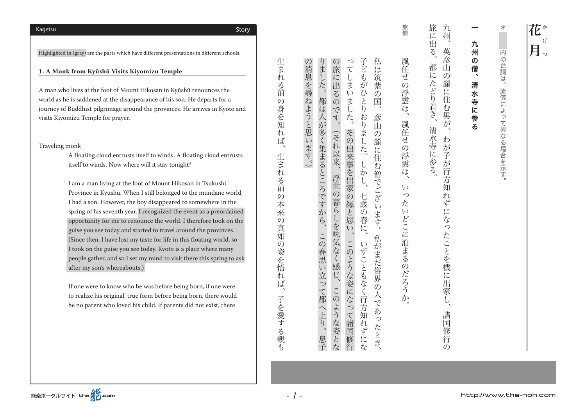$\ast$ 。流儀によって異なる場合を示す、内の台詞は\* 内の台詞は、 流儀によって異なる場合を示す。

# - 「九州の僧」と「九州の僧」と「九州の僧」と「九州の僧」と「九州の僧」と「九州の僧」と「九州の僧」と「九州の僧」と「九州の僧」と「九州の僧」と「九州の僧」と「九州の僧」と「九州の僧」と「九州の僧」と 九 州  $\boldsymbol{\mathcal{D}}$ 僧、 清 水 寺に参る

旅 九州、 に出 。清水寺に参る、都にたどり着き。旅に出る が子が子が行うので、それは、それは、天の皇とは、天の皇とは、天の皇とは、天の皇とは、天の皇とは、天の皇とは、天の皇とは、天の皇とは、天の皇とは、天の皇とは、天の皇とは、天の皇とは、天の皇とは、天の皇とは、天の皇とは、天の  $\overline{\xi}$ 英彦 都に  $\tilde{\mathbb{L}}$  $\mathcal{O}$ ご麓に住 たどり着き、 |む男が 清水寺に参る  $\sim$ わが 子が 行 方 知 n ず にな っ たことを機に - 出家  $\tilde{L}$ 諸 国 .<br>修 行  $\mathcal{O}$ 

旅僧 。<br>∶ 風任せ 。いったいどこに沿まるのだろうか、風任せの浮雲は、風任せの浮雲は、風任せの浮雲は、風任せの浮雲は、風任せの浮雲は、風任せの浮雲は、風任せの浮雲は、風任せの浮雲は、風任せの浮雲は、風任せの浮雲は、風任せ の浮雲は、 風任せの浮雲は、  $\zeta$ っ た  $\iota$ どこに泊まるのだろう  $\mathcal{H}^{\mathcal{A}}$ 

私 の消息を尋ねようと思います。)  $\mathcal{O}$  $\begin{array}{c} 2 \\ 7 \end{array}$ 子どもがひ りました。都は人が多く集まるところですから、この春思い立って都へ上り、 ( 。の消息を尋ねようと思います しょう こうしょう こうしゅう こうしゅう こうしゅう こうしゅう こうしゅう こうしゅう こうしゅう こうしゅう こうしゅう こうしゅう こうしゅう こうしゅう こうしゅう 旅 このような。このような楽しをするのです。(の旅に出るのです)、それ以来。(の旅に出るのです)、それ以来。(の旅に出るのです)、 いちじょう しゅうしゅう こくしゅうしゅう こくしゅうしゅう こくしゅうしゅうしゅうしゅうしゅ 心 、私がまだ俗界の人であったとき。彦山の麓に住む僧でございます、私は筑紫の国 宗に出 こしま 笳 紫 こるの  $\zeta$  $\ddot{\odot}$ ま  $\overline{z}$ 国 っです。 ぶした。  $\eta$ おり 彦  $\tilde{\mathbb{L}}$ その **冫ました。** (それ以来、  $\mathcal{O}$ このような。このような場には、その出来事を出家の場には、その出来事を出家の場には、その出来事を出家の場には、その出来事を出家の場には、その出来事を出家の場には、その出来事を出家の場には、その出来事を出 麓 -出来事を出家の縁と思 汇 住 しかし、 む僧でござい 浮世 1の暮らしを味気なく感じ、 七歳の春に、 います。  $\overline{v}$ 私がまだ俗界 この いずこともなく行 ような姿になっ  $\ddot{\circ}$ この 人であっ ような姿とな 方知 て諸国修行 n たとき  $\ddot{d}$ 息子 にな

生まれる前 の身を知 ハれば、 生まれ - る前の本来の 真如の姿を悟  $\overline{n}$ 读 子を愛する親  $\sharp$ 

子を愛する親も、生まれる前の本来の真如の姿を悟れば、生まれる前の身を知れば

*- 1 -*

Highlighted in (gray) are the parts which have different presentations in different schools.

1. A Monk from Kyūshū Visits Kiyomizu Temple

A man who lives at the foot of Mount Hikosan in Kyūshū renounces the world as he is saddened at the disappearance of his son. He departs for a journey of Buddhist pilgrimage around the provinces. He arrives in Kyoto and visits Kiyomizu Temple for prayer.

#### Traveling monk

A floating cloud entrusts itself to winds. A floating cloud entrusts itself to winds. Now where will it stay tonight?

I am a man living at the foot of Mount Hikosan in Tsukushi Province in Kyūshū. When I still belonged to the mundane world, I had a son. However, the boy disappeared to somewhere in the spring of his seventh year. I recognized the event as a preordained opportunity for me to renounce the world. I therefore took on the guise you see today and started to travel around the provinces. (Since then, I have lost my taste for life in this floating world, so I took on the guise you see today. Kyoto is a place where many people gather, and so I set my mind to visit there this spring to ask after my son's whereabouts.)

If one were to know who he was before being born, if one were to realize his original, true form before being born, there would be no parent who loved his child. If parents did not exist, there

Story Kagetsu

花 こうしょう こうしゃ アクセス しゅうしょう しゅうしゅう かんきょう しゅうしょく かんきょう かんきょう かんきょう かんきょう かんきょう かんきょう かんきょう げ 月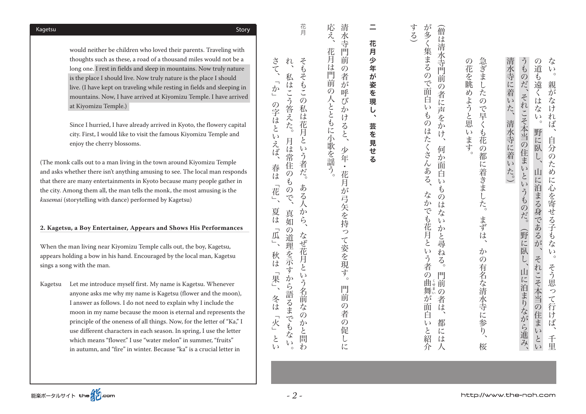would neither be children who loved their parents. Traveling with thoughts such as these, a road of a thousand miles would not be a long one. I rest in fields and sleep in mountains. Now truly nature is the place I should live. Now truly nature is the place I should live. (I have kept on traveling while resting in fields and sleeping in mountains. Now, I have arrived at Kiyomizu Temple. I have arrived at Kiyomizu Temple.)

Since I hurried, I have already arrived in Kyoto, the flowery capital city. First, I would like to visit the famous Kiyomizu Temple and enjoy the cherry blossoms.

(The monk calls out to a man living in the town around Kiyomizu Temple and asks whether there isn't anything amusing to see. The local man responds that there are many entertainments in Kyoto because many people gather in the city. Among them all, the man tells the monk, the most amusing is the kusemai (storytelling with dance) performed by Kagetsu)

### 2. Kagetsu, a Boy Entertainer, Appears and Shows His Performances

When the man living near Kiyomizu Temple calls out, the boy, Kagetsu, appears holding a bow in his hand. Encouraged by the local man, Kagetsu sings a song with the man.

Kagetsu Let me introduce myself first. My name is Kagetsu. Whenever anyone asks me why my name is Kagetsu (flower and the moon), I answer as follows. I do not need to explain why I include the moon in my name because the moon is eternal and represents the principle of the oneness of all things. Now, for the letter of "Ka," I use different characters in each season. In spring, I use the letter which means "flower." I use "water melon" in summer, "fruits" in autumn, and "fire" in winter. Because "ka" is a crucial letter in

| ない。<br>親がなければ、自分のために心を寄せる子もない。                                                        |
|---------------------------------------------------------------------------------------|
| の道も遠くはない。野に臥し、山に泊まる身であるが、それこそ本当の住まいとい                                                 |
| うものだ、それこそ本当の住まいというものだ。<br>(野に臥し、山に泊まりながら進み、                                           |
| 清水寺に着いた、清水寺に着いた。)                                                                     |
| 急ぎましたので早くも花の都に着きました。まずは、かの有名な清水寺に参り、                                                  |
| の花を眺めようと思います。                                                                         |
| が多く集まるので面白いものはたくさんある、<br>(僧は清水寺門前の者に声をかけ、<br>何か面白いものはないかと尋ねる。<br>なかでも花月という者の曲舞が面白いと紹介 |
| する)                                                                                   |
| 花月少年が姿を現<br>し、<br>芸を見せる                                                               |
| 清水寺門前<br>の者が呼びかけると、少年・花月が弓矢を持って姿を現す。                                                  |
| 応え、花月は門前の人とともに小歌を謡う。                                                                  |
| 花月<br>そもそもこの私は花月という者だ。<br>ある人から、<br>なぜ花月という名前なの                                       |
| れ、<br>私はこう答えた。<br>月は常住のもので、<br>真如の道理を示すから語るまでもない。                                     |
| さて、「か」の字はといえば、春は「花」、<br>夏は「瓜」、秋は「果」、冬は「火」                                             |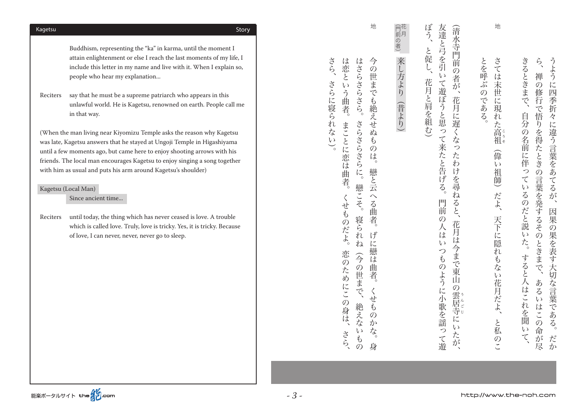Buddhism, representing the "ka" in karma, until the moment I attain enlightenment or else I reach the last moments of my life, I include this letter in my name and live with it. When I explain so, people who hear my explanation...

Reciters say that he must be a supreme patriarch who appears in this unlawful world. He is Kagetsu, renowned on earth. People call me in that way.

(When the man living near Kiyomizu Temple asks the reason why Kagetsu was late, Kagetsu answers that he stayed at Ungoji Temple in Higashiyama until a few moments ago, but came here to enjoy shooting arrows with his friends. The local man encourages Kagetsu to enjoy singing a song together with him as usual and puts his arm around Kagetsu's shoulder)

### Kagetsu (Local Man)

能楽ポータルサイト the 20.com

Since ancient time...

Reciters until today, the thing which has never ceased is love. A trouble which is called love. Truly, love is tricky. Yes, it is tricky. Because of love. I can never, never, never go to sleep.

 $\zeta$ うよう きるときまで、 、それを聞いて。自分の名前には、自分の名前に学ぶるのだと思いた。自分の名前に学ぶるのだと思いた。 あるいはこの命が尽、禅の修行で悟りを得たときの言葉を発するそのときまで、ら たか。それは、日本の果実をあてる。これは、日本の果実をあてるが、日本の果実をあてるが、日本の果実をあてるが、日本の果実をあてるが、日本の果実をあてるが、日本の果実をあてるが、日本の果実をあてるが、日本の果実をあてるが、日 禅  $\overline{\mathcal{O}}$ 亡 1四季折 修行で悟 自分の名前に 々  $\eta$ に違う言葉をあ を得たときの 侠 っ  $\tau$ 言  $\tilde{\tau}$ いるの 葉を発するそ  $\ddot{\delta}$ が **シだと説** 因 某  $\overline{O}$  $\overline{O}$ 果を表す大切な言葉であ  $\iota$ さこ ときまで、 すると人はこれ あ  $\overline{\mathcal{L}}$  $\sqrt{ }$ いはこの 、を聞  $\ddot{\delta}$  $\overline{u}$ 3命が尽  $\zeta$ だか

さては とを呼ぶの 。 さては末世に現れた高 末世に現 **>である**  $\tilde{n}$ "た高祖 ともに、天下に張ると、天下に張ると、天下に張ると、天下に張ると、天下に張ると、天下に張ると、天下に張ると、天下に張ると、天下に張ると、天下に張ると、天下に張ると、天下に張ると、天下に張ると、天下に張る 畲  $\overline{u}$ 祖師) だよ、 天下に隠れ もない花月だよ、 と私  $\mathcal{O}$ 

地

ぼう、 友達と弓を引 (清水寺門前の者が、 たちには、 花月には、 花月には、 花月には、 花月には、 花月には、 花月には、 花月には、 花月には、 花月には、 花月には、 花月には、 花月には、 花月には、 花月には、 花月には、 花月には、 花月には、 花月には (花月と肩を組む、と促し、ぼう 門前の人はいつものように、そのように、そのように、そのように、そのように、そのように、そのように、そのように、そのように、そのように、そのように、そのように、そのように、そのように、そのように、そのよ と促し、  $\overline{v}$ 花月と肩を組む) て遊ぼうと思って来たと告げる。 花月 に遅くな  $\frac{1}{2}$  $\overline{z}$ わ  $\mathfrak{h}$ を尋 ね 門前 ぶると、  $\mathcal{O}$ 花 人は 月 ほ いつものように小歌を謡っ ぶ今まで. 東 ĨЩ  $\mathcal{O}$ )雲居寺" こうしょう こうしょう しょうかん しょうかん しょうせい しゅうかん しゅうかん しゅうかん しゅうかん しゅうかん しゅうかん しゅうかん しゅうかん しゅうかん しゅうかん しゅうかん しゅうかん しゅうかん しゅうかん 、居寺にいたが に  $\mathcal{U}$ たが て遊

(門前の者( 来し方より (昔より) (昔より(来し方より

地

はさら さら、 は恋とい 今 、そしてものだよ。まことに恋は心をいう曲者。くせものだよ。まことに恋は心を心をつけている。 このようにふく しゅうしょう こうしょう こうしょう こうしょう こうしょう そんない ちょうこく こうさらさら こうさらさらさら こうさらさらさら 身。くせものかな。げに戀は曲者。戀と云へる曲者。今の世までも絶えせぬものは  $\mathcal{O}$ 世 さらに寝られない)。 さらさら。 |までも絶えせぬ いう曲者。 まことに恋は曲者。 さらさら  $\sharp$  $\mathcal{O}$ うさらに。 は  $\sim$ 戀と云 戀こそ。  $\widehat{\phantom{0}}$ くせものだよ。 る曲 寝ら 者 げ れ  $i\in$  $n$ 戀は 恋の  $\widehat{\mathcal{F}}$  $\mathcal{O}$ 曲者 ためにこの身は、 世ま て、 せ 絶えな  $\check{\mathfrak{G}}$  $\overline{O}$ か  $\vec{\mathcal{L}}_{\delta}$  $\zeta$  ) さら、  $\mathfrak{F}$ 身  $\overline{O}$ 

。 (さらに尾られない、きらに尾られない。)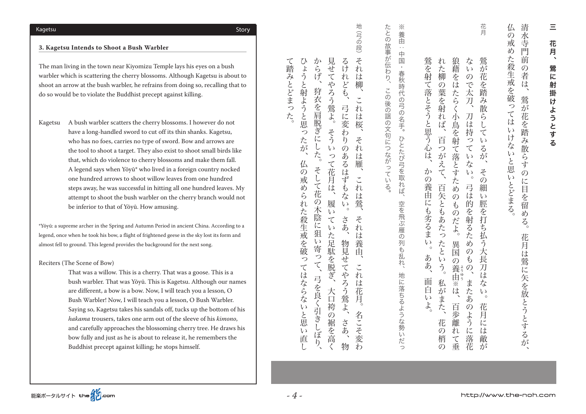仏 清 。仏の戒めた殺生戒を破ってはいけないと思いとどまる 、花月は鳥に矢をかけるが。鳥に矢をかけるが。鳥に矢をかける。鳥に矢をかける。鳥に矢をかける。鳥に矢をかける。清水寺門前の者は見るが。鳥に矢をかける。清水寺門前の者は見るが。鳥に矢をかける。清水寺門前の 水  $\mathcal{O}$ 戒 寺  $\overline{\omega}$ 菛 た 前 殺生戒を破  $\overline{O}$ 者 は 79 鶯  $\sum$  $\tilde{b}$  $\tau$ 花 は 1を踏  $\epsilon$ けな み散らす (y) 、<br>と思  $\overline{O}$  $\epsilon$  y に目 とどまる え<br>留 め  $\zeta$ 花 月 は 鶯 に矢を放とうとするが

花月 狼藉 n な 鶯を射て落とそうと思う に柳 たんぽう ふくじょう はんしょう こうしゅう こうしゅう こうしゅう こうしゅう こうしゅう こうしゅう こうしゅう こうしゅう 異国の。狼藉をはたらく小鳥を射て落とすためのものだよ  $\iota$ またあのようにない こうしゅう こうしゅう こうしゅう こうしゅう こうしゅう こうしゅう こうしゅう こうしゅう こうしゅう こうしゅう こうしゅう こうしゅう 花月には敵が。その細い脛を打ち払う大長刀はない、鶯が花を踏み散らしているが が 空を 花  $\mathcal{O}$ はたらく で太 の葉を射 を 踏 項  $\lambda$ 散 n  $\overline{Z}$ 刀 ら 小鳥を射 读 (は持  $\tau$ 百 っ  $\iota$ лĥ  $\mathcal{D}$  $\tau$  $\zeta$ て落とす は が  $\zeta$ が え な か  $\tau$  $z$  $\iota$  $\mathcal{O}$  $\circ$  $\mathcal{O}$ 虍 >養由 百 弓 細 め 矢とも こは的  $\mathcal{O}$  $\iota$ にも劣るま 脛  $\overline{\mathcal{L}}$ 1を射 っただ を ぁ 打 じたつ  $\ddot{t}$ るた ら払 異国  $\iota$ た d)  $\frac{1}{2}$  $\circ$ と  $\mathcal{O}$ 大 あ  $\mathcal{P}$ 長  $\iota$  $\overline{\varpi}$ こあ、  $\zeta$ >養由※は 刀  $\mathcal{O}$ ー リー・シー は 面 私 ま な 「「「「「「「「「「「「「」」」」 白 が えあ  $\iota$  $\iota$ こま  $\circ$ よ 百 え 花  $\mathcal{O}$ 一步離 よう 亘 花 に  $\mathcal{O}$  $n$ に は -落花 て垂 敵 梢 が  $\mathcal{O}$ 

 $\frac{1}{2}$ たとの故事が伝わり、 。この後の絵の文句につながっている。 この後の文句につながっている。たとにつながっている。たとにつながっている。たとにつながっている。 養 たちに、日本のラクトは、日本のラクトは、日本のラクトは、日本のラクトは、日本のラクトは、日本のラクトは、日本のラクトは、日本のラクトは、日本のラクトは、日本のラクトは、日本のラクトは、日本のラクトは、  $\hat{\mathbb{H}}$ 中国・春秋時代の弓の名手。 この後の謡の文句につながっている ひとたび弓を取れば、 空を飛ぶ雁の列も乱  $\overline{n}$ 地に落ちるような 勢い だ  $\supset$ 

。これは、あるまい、鳥を持ちにもあるまい、鳥を持ちになるまい、鳥を持ちになるまい、鳥を持ちになるまい、鳥を持ちになるまい、鳥を持ちになるまい。鳥を持ちになるまい、鳥を持ちになるようになるようになるまい

- 地 (りゅうしょうしょう しゅうしょう しゅうしゅう しゅうしゅう しゅうしゅう しゅうしゅう しゅうしゅう しゅうしゅう しゅうしゅう しゅうしゅう しゅうしゅう しゅうしゅう しゅうしゅう しゅうしゅう しゅうしゅうしゃ (弓の段) か るけ  $z$  $\alpha$ 見 こよう 仏の戒められた殺生戒を破ってはならないと思い直し、ひょうと射ようと思ったが  $5$ ぜ 大口袴の裾を高く、履いていた足駄を脱ぎ、そういって花月は。見せてやろう鶯よ かんきゅう きょうかい こうしゅう こうしゅう こうしゅう こうしゅう こうしゃ こうしゃ こうしゃ こうしゃ こうしゃ こうしゃ こうしゅう こうしゃ こうしゃ n 名こそ変わ。これは花月、それは養由、これは鶯、それは雁、これは桜、それは柳  $\bar{\tau}$ げ  $n$ は やろ と射 ども 柳、 狩  $\widetilde{5}$ ぶよう 衣を肩脱ぎに 弓に 營 n と思  $\dddot{\mathbf{k}}$ は 変 桜 そう っ わ  $z$ 六  $\mathfrak h$  $\cup$ が  $n$  $\iota$  $\mathcal{O}$ た。  $\mathcal{L}$ あ は て花 るは 雁、 仏  $z$  $\mathcal{O}$  $\iota$  $\check{\cdot}$ 戒 月 ず こ花  $\omega$ は  $\mathfrak{F}$ n  $\zeta$ な は れ  $\mathcal{O}$ 履 鶯  $\epsilon_{\rm J}$ 木陰 た殺生戒を破  $\iota$ さあ  $\tau$  $z$ に狙  $\iota$ tr た は 物見  $\iota$ 足駄 養 寄 由 っ ぶを 脱 っ ぜ  $\zeta$ こてやろ  $\check{\cdot}$  $\tau$ は **AC** n 弓を良く引 ならな  $i\ddot{x}$ 大口 う<br>鶯 花 月 。いと思 …<br>袴 Ĩ 名 の裾を高く ごさし さあ ここそ変  $\epsilon$ ぼり 直 物  $\widetilde{t}$
- T 踏 。 、今くらには、そしており、そしており、そしており、そしており、そしており、そしており、そしており、そしており、そしており、そしており、そしており、そしており、そしており、そしており、そしており、そして  $\overline{\mathcal{H}}$ とどまっ た

#### **3. Kagetsu Intends to Shoot a Bush Warbler**

The man living in the town near Kiyomizu Temple lays his eyes on a bush warbler which is scattering the cherry blossoms. Although Kagetsu is about to shoot an arrow at the bush warbler, he refrains from doing so, recalling that to do so would be to violate the Buddhist precept against killing.

Kagetsu A bush warbler scatters the cherry blossoms. I however do not have a long-handled sword to cut off its thin shanks. Kagetsu, who has no foes, carries no type of sword. Bow and arrows are the tool to shoot a target. They also exist to shoot small birds like that, which do violence to cherry blossoms and make them fall. A legend says when Yōyū\* who lived in a foreign country nocked one hundred arrows to shoot willow leaves from one hundred steps away, he was successful in hitting all one hundred leaves. My attempt to shoot the bush warbler on the cherry branch would not be inferior to that of Yōyū. How amusing.

\*Yōyū: a supreme archer in the Spring and Autumn Period in ancient China. According to a legend, once when he took his bow, a flight of frightened geese in the sky lost its form and almost fell to ground. This legend provides the background for the next song.

#### Reciters (The Scene of Bow)

That was a willow. This is a cherry. That was a goose. This is a bush warbler. That was Yōyū. This is Kagetsu. Although our names are different, a bow is a bow. Now, I will teach you a lesson, O Bush Warbler! Now, I will teach you a lesson, O Bush Warbler. Saying so, Kagetsu takes his sandals off, tucks up the bottom of his hakama trousers, takes one arm out of the sleeve of his *kimono*. and carefully approaches the blossoming cherry tree. He draws his bow fully and just as he is about to release it, he remembers the Buddhist precept against killing; he stops himself.

Story Kagetsu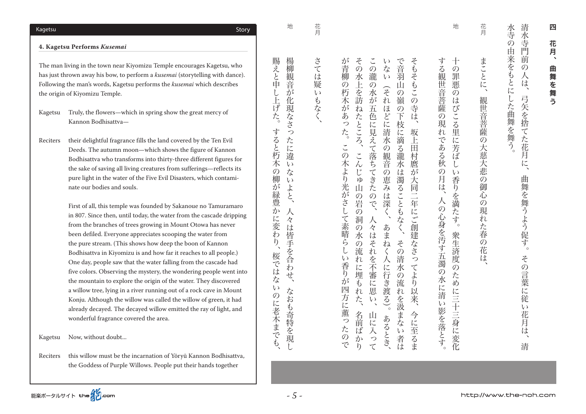水寺の 清水寺 。水寺の中には、山下は中には、山下は中には、山下は中には、山下は中には、山下は中には、山下は中には、山下は中には、山下は中には、山下は中には、山下は中には、山下は中には、山下は中には、山下は中には、山 清、その言葉に従いた石は、曲葉に従いた石は、青い子門前の人は、清水寺門前の人は、清水寺門前の人は、清水寺門前の人は、清水寺門前の人は、清水寺門前の人は、清水寺門前の人は、清水寺門前の人は、清水寺門前の人は、清水寺門前の人は 門 由来をも 前  $\mathcal{O}$ 人 候 とに した曲舞を舞う。 弓矢を捨 てた花月 记 曲 無を舞うよう促す。 その言葉に 従  $\omega$ 花 月 は 清

花月 まことに、 しかし しゅうしゅう しゅうしゅう しゅうしゅ しゅうしゅう しゅうしゅうしゅ しゅうしゅうしゅ しゅうしゅうしゅ しゅうしゅうしゅ しゅうしゅうしゅ しゅうしゅうしゅ 観世音菩薩の大慈大悲  $\overline{O}$ 御 心  $\mathcal{O}$ 現  $\tilde{n}$ た春 の花  $i\bar{t}$ 

地 する観世音菩薩の現れ  $+$ 。人の心身を汚す五濁の水に清い影を落とす、 する観世音菩薩の現れである秋の月は  $\overline{\mathcal{O}}$ 家生活では、この罪には、この罪には、この罪には、この罪には、この罪には、この罪には、この罪には、この罪には、この罪には、この罪には、この罪には、この罪には、この罪には、この罪には、この罪には、この罪には、この罪には、この 罪 惠  $\overline{\mathcal{O}}$ は  $\tilde{\alpha}$ こる里に である秋 芳 ぼ  $\iota$  $\mathcal{O}$  $\mathcal{U}$ 月 香 侯 りを  $\overline{\lambda}$ 満 の心身を汚す五濁の水に清い影を落とす。 だ す。 衆生済度  $\overline{O}$ ため に三十三身に変化

 $\check{\cdot}$ で音羽 そもそ が  $z$  $\iota$ 。青柳 この木より光がさして素晴らしい香りが四方に薫ったので。が青柳の朽木があった  $\mathcal{O}$ 名前ばかり、こんじゅ山の岩の洞の水の流れに埋もれた、その水上を訪ねたところ  $\mathcal{O}$ 山に入って、人々はそれを不審に思い、この瀧の水が五色に見えて落ちてきたので  $\overrightarrow{A}$ 、あまれに行き渡る、それは、あまねく人に行き渡る、それは清水の風音の恵みは深く(いない) 。 その清水の流れを汲まない者は、で音羽山の嶺の下枝に滴る瀧水は濁ることもなく 今には、その中には、坂上田村園が大同二年には、そもそもこの寺は、そもそもこの寺は、そもそもこの寺は、そもそもこの寺は、そもそもこの寺は、そもそもこの寺は、そもそもこの寺は、そもそもこの寺は、そもそもこ 永 瀧  $\iota$ 小上を訪  $\tilde{C}$ の朽木が  $\overline{O}$ Ш 2 次が五  $\sigma$ 一嶺  $\overline{n}$  $\mathcal{O}$ に 寺  $\overline{a}$  $\overline{O}$ るつ 益に見 下枝 た どに 吱 ところ た。 坂上 清 に滴 えて落ち 水  $\tilde{\zeta}$  $\overline{O}$  $\overline{z}$ 田  $\zeta$  $\varnothing$ 観音 瀧 村 )木 より 永 麿 してき  $\mathcal{L}$  $\overline{\mathcal{O}}$ は  $\mathcal{D}^{\mathcal{S}}$ 恵 KD 濁 大 光がさし ぶみは Ш た ることもなく 同二年にご創建なさ  $\mathcal{O}$  $\mathcal{O}$ 岩 深く で  $\mathcal{O}$  $\bar{\tau}$ 洞 /素晴ら あまね  $\mathcal{O}$ 々 は 水 その  $\overline{\mathcal{O}}$  $\tilde{\tau}$  $\overline{n}$ l 流  $\langle$ 、を不審 清  $\iota$  $\ddot{n}$ 人に行き っ 香り てよ に 永 運も つ流  $\hat{\mathcal{D}}^{\mathcal{S}}$ に  $\tilde{b}$ ご渡る)。 崽 四方に薫っ  $n$ 以来、 れを汲まない者は た、  $\iota$ 名前 山に入 今に至るま あるとき、 た ばか  $\mathcal{O}$  $\widetilde{\mathcal{P}}$ で  $\overline{h}$  $\tau$ 

さては疑  $\tilde{t}$ もなく

- ネット・コーヒン コーヒー・コーヒー

花月

楊柳観 音

地

 $\vec{h}$ 

化現なさっ

た

に

違

 $\iota$ 

 $\epsilon J$ 

よと、

 $\overline{\mathcal{N}}$ 

々

は皆手を合

わ

なおも奇特

『を現

賜えと申

ŀ.

げた。

す

ると

杇

木

 $\mathcal{O}$ な

柳

が緑豊か

。に変わ

 $\overline{b}$ 

桜で

、はな ぜ、

 $\epsilon$ 

のに老木までも

くち しゅうしゅ ストラ ストラ あいしゅう しゅうしゅう しゅうしゅう しゅうしゅう しゅうしゅう しゅうしゅう しゅうしゅう しゅうしゅう しゅうしゅう しゅうしゅ

なおもう ちょうしゃ こうきょうしゅ こうしゅう こうしゅう こうしゅう こうしゅう こうしゅう こうしゅう こうしゅう こうしゅう こうしゅう こうしゅう こうしゅう

Story Kagetsu

*Kusemai* **Performs Kagetsu 4.**

the origin of Kiyomizu Temple.

Kagetsu Truly, the flowers—which in spring show the great mercy of Kannon Bodhisattva-

Reciters their delightful fragrance fills the land covered by the Ten Evil Deeds. The autumn moon—which shows the figure of Kannon Bodhisattva who transforms into thirty-three different figures for the sake of saving all living creatures from sufferings-reflects its pure light in the water of the Five Evil Disasters, which contaminate our bodies and souls.

The man living in the town near Kiyomizu Temple encourages Kagetsu, who has just thrown away his bow, to perform a *kusemai* (storytelling with dance). Following the man's words, Kagetsu performs the *kusemai* which describes

> First of all, this temple was founded by Sakanoue no Tamuramaro in 807. Since then, until today, the water from the cascade dripping from the branches of trees growing in Mount Otowa has never been defiled. Everyone appreciates scooping the water from the pure stream. (This shows how deep the boon of Kannon Bodhisattva in Kiyomizu is and how far it reaches to all people.) One day, people saw that the water falling from the cascade had five colors. Observing the mystery, the wondering people went into the mountain to explore the origin of the water. They discovered a willow tree, lying in a river running out of a rock cave in Mount Konju. Although the willow was called the willow of green, it had already decayed. The decayed willow emitted the ray of light, and wonderful fragrance covered the area.

Kagetsu Now, without doubt...

Reciters this willow must be the incarnation of Yōryū Kannon Bodhisattva, the Goddess of Purple Willows. People put their hands together

http://www.the-noh.com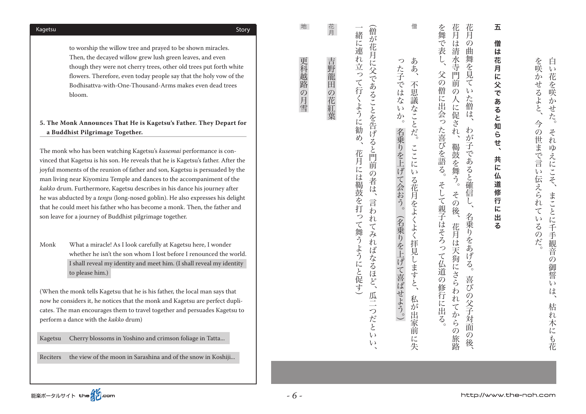Kagetsu Cherry blossoms in Yoshino and crimson foliage in Tatta...

Reciters the view of the moon in Sarashina and of the snow in Koshiji...

to worship the willow tree and prayed to be shown miracles. Then, the decayed willow grew lush green leaves, and even though they were not cherry trees, other old trees put forth white flowers. Therefore, even today people say that the holy vow of the Bodhisattva-with-One-Thousand-Arms makes even dead trees .bloom

# 5. The Monk Announces That He is Kagetsu's Father. They Depart for a Buddhist Pilgrimage Together.

The monk who has been watching Kagetsu's *kusemai* performance is convinced that Kagetsu is his son. He reveals that he is Kagetsu's father. After the joyful moments of the reunion of father and son, Kagetsu is persuaded by the man living near Kiyomizu Temple and dances to the accompaniment of the kakko drum. Furthermore, Kagetsu describes in his dance his journey after he was abducted by a *tengu* (long-nosed goblin). He also expresses his delight that he could meet his father who has become a monk. Then, the father and son leave for a journey of Buddhist pilgrimage together.

Monk What a miracle! As I look carefully at Kagetsu here, I wonder whether he isn't the son whom I lost before I renounced the world. I shall reveal my identity and meet him. (I shall reveal my identity to please him.)

(When the monk tells Kagetsu that he is his father, the local man says that now he considers it, he notices that the monk and Kagetsu are perfect duplicates. The man encourages them to travel together and persuades Kagetsu to perform a dance with the kakko drum)

Story Kagetsu

花月 吉野龍田 ちゅうしゃ しゅうしゅう しゅうしゅう しゅうしゅう しゅうしゅう しゅうしゅう しゅうしゅう しゅうしゅう しゅうしゅう しゅうしゅう しゅうしゅう しゅうしゅう の花紅華

地

更科越路の月雪

「一つの場合」 こうしょう

五 共に仏道修行に出る、五僧は花月に父であると知らせ 僧 は 花月 に 交 .<br>ح ぁ る と知ら せ、 共 に 仏 1道修行 に 。<br>出  $\overline{z}$ 

。

世まで言

!い伝えられ

 $\tau$ 

 $\iota_{\lambda}$ 

るの

だ

を咲

 $\tilde{\psi}$ 花

いせる こを咲

ことと

今

白

 $\iota$ 

 $\tilde{\mathcal{D}}$ 

せ

卮

 $z$  $\mathcal{O}$ 

 $n$ 

 $W$ 

え

仁

 $\sum$ 

こく

枯れ木にも花、まことに千手観音の御誓いは、それゆえにこそ。白い花を咲かせた

まことに

千手観音

 $\mathcal{O}$ 

御 誓

 $\mathbf{U}$ は

枯 れ

木にも花

花月 花月 を舞で表し、 。そして親子はそろって仏道の修行に出る。父の僧に出会った喜びを語る、を舞で表し 花月は天狗にさらわれてからの旅路、その後。鞨鼓を舞う、花月は清水寺門前の人に促され 、喜びの父子対面の後。名乗りをあげる、わが子であると確信し、花月の曲舞を見ていた僧は は  $\mathcal{O}$ 清 曲 舞 水寺門前 (を見 父  $\widetilde{\mathcal{D}}$  $\tau$ 僧に出会った喜びを語る。  $\tilde{\mathcal{O}}$  $\iota$ 人に た 僧 促 は **ごれ**、 わ  $\overline{\mathcal{D}}$ 鞨鼓を舞う。 子であると確信 そして親子はそろって仏道の修行に出る。 その  $\overline{L}$ 3後、 名乗りをあげ 花月は天狗にさらわれ こと。 喜び の父子対面 いてから  $\mathcal{O}$  $\mathcal{O}$ 旅路 後

僧 ああ、 った子ではな 私が出家前に失、ここにいる花月をよくよく拝見しますと。不思議なことだ、ああ 不思議なことだ。  $\tilde{v}$  $\overline{\mathcal{D}}$ ہ' 名乗りを上げて会おう。(名乗りを上げて喜ばせよう。) ここに  $\mathcal{U}$ る花月をよくよく拝見しますと、 私が出家前 に 失

( ) 。 ( ) 。 ( ) 。 (名乗りを上げて会おう) 。 (名乗りを上げて会おう) 。 (名乗りを上げて会おう) 。 (名乗りを上げて会おう) 。  $\iota$ 

(僧が花月に父であることを告げると門前の者は、 くち こくしゅう こくしゅう こくしゅう こくしゅう こくしゅう こくしゅう こくしゅう こくしゅう こくしゅう こくしゅう こくしゅう こくしゅう こくしゅう こくしゅう こくしゅう 緒に連れ立って行くように勧め (花月には、花月には紫色の花を打つ)と見て持つにして発見される。 このこと こうしゅうしょう 花月には鞨鼓を打っ 言わ n て舞うようにと促す)  $\tau$  $\lambda$  $n$ ばなるほど、 瓜二つだと  $\iota$ 

http://www.the-noh.com

能楽ポータルサイト the インcom

*- 6 -*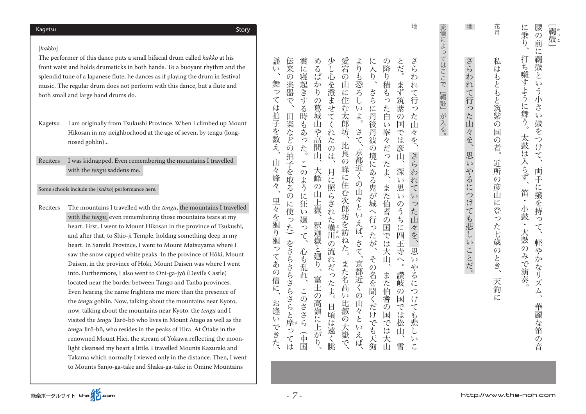#### Story Kagetsu

#### *kakko*[ [

The performer of this dance puts a small bifacial drum called kakko at his front waist and holds drumsticks in both hands. To a buoyant rhythm and the splendid tune of a Japanese flute, he dances as if playing the drum in festival music. The regular drum does not perform with this dance, but a flute and both small and large hand drums do.

Kagetsu I am originally from Tsukushi Province. When I climbed up Mount Hikosan in my neighborhood at the age of seven, by tengu (long-<br>nosed goblin)...

Reciters I was kidnapped. Even remembering the mountains I travelled with the *tengu* saddens me.

Some schools include the [kakko] performance here.

Reciters The mountains I travelled with the *tengu*, the mountains I travelled with the *tengu*, even remembering those mountains tears at my heart. First, I went to Mount Hikosan in the province of Tsukushi, and after that, to Shiō-ii Temple, holding something deep in my heart. In Sanuki Province, I went to Mount Matsuvama where I saw the snow capped white peaks. In the province of Hōki, Mount Daisen, in the province of Hōki, Mount Daisen was where I went into. Furthermore, I also went to Oni-ga-jyō (Devil's Castle) located near the border between Tango and Tanba provinces. Even hearing the name frightens me more than the presence of the *tengu* goblin. Now, talking about the mountains near Kyoto, now, talking about the mountains near Kyoto, the tengu and I visited the *tengu* Tarō-bō who lives in Mount Atago as well as the tengu Jirō-bō, who resides in the peaks of Hira. At Ōtake in the renowned Mount Hiei, the stream of Yokawa reflecting the moonlight cleansed my heart a little. I travelled Mounts Kazuraki and Takama which normally I viewed only in the distance. Then, I went to Mounts Sanjō-ga-take and Shaka-ga-take in Ōmine Mountains

流儀によってはここで[鞨鼓]が入る。 。が入る]鞨鼓[流儀によってはここで

地

雲に寝 伝来 めるば 少し心 愛宕 の降 とだ。 さら ょ に入 ともには、これは、伝来の楽器での作品を取るのに使っているのに使っているのに使っているのに使っているのに使っているのに使っているのに使っているのに使っているのに使っているのに使っているのに使っているのに 中国(このように) 中国(このように) 中国(このように) 中国(このように) 中国(このように) 中国(このように) 中国(このように) 中国(このように) 中国(このように) 中国( 、「高嶺に上がり、天峰の山と渡り、天峰の山と渡り、天峰の山と渡り、天峰の山と渡り、天峰の山と渡り、天峰の山と渡り、天峰の山と渡り、天峰の山と渡り、天峰の山と渡り、天峰の山と渡り、天峰の山と渡り、天峰の 月に照らされた。 月に照らされた。少し心を浮きせてくれたのは、少し心を浮きせてくれたのは、少し心を浮きせてくれたのは、少し心を浮きせてくれたのは、少し心を浮きせてくれたのは、少し心を浮きせてくれたのは 、それは、 はっぽん いちのは はっぽん いちのは はいしん いちのは はいしん いちのは はいしん いちのは はいしん 、京都近くの山々といえば、 さて、 京都近くの山々といえば、 さて。よりも恐ろしいよ  $\mathfrak h$ その名を聞くだけでも天狗、この名を聞くだけでも天狗、この名を聞くだけでも天狗、この名を聞くだけでも天狗、この名を聞くだけでも天狗、この名を聞くだけでも、この名を聞くだけでも、この名を聞くだけでも、この また伯耆の国では大山、また伯耆の国では大山、の降り積もった白い峯々だったよ 雪、讃岐の国では松山。深い思いのうちに四王寺へ、まず筑紫の国では彦山。とだ たいこ、さらわれていった山々を、さらわれていった山々を、さらわれていった山々を、さらわれていった山々を、さらわれていった山々を、さらわれていった山々を、さらわれていった山々を、さらわれていった山々を、  $\eta$ お  $\overline{O}$  $\overline{O}$  $\mathring{\mathcal{L}}$  $\overline{b}$ 深器 ぶかりの **恐ろ** 積も 起きする を澄ませ 山に住む太郎 まず筑 n さらに こ行 デ っ 葛 た 。<br>紫  $\epsilon$   $\sqrt$ っ  $\dot{\mathcal{L}}$ 田 時 城  $\bar{\tau}$ 丹後丹波 百  $\overline{O}$ た 「楽など  $\langle$ 国 Щ  $\mathfrak{F}$ Ш  $\iota$ 坑 さて 室 『では彦 あ 8  $\dot{n}$ 々 高間 ・た  $\mathcal{L}$  $\overline{\mathcal{R}}$ を、 比良の た。 このは、 の境にある鬼が城 だっ  $\mathcal{O}$ 京都近く ïЦ 可 さらわ 拍子を取 この たよ、 |峰に住む次郎坊を訪ねた。 大峰 月に照らされ 深 てよう  $\iota$  $n$  $\overline{O}$ また伯耆  $\overline{z}$  $\mathcal{O}$ 思  $\boldsymbol{\tau}$ 山々と 山上嶽  $\mathcal{O}$ に  $\iota$  $\epsilon y$ )に使 狂 のう っ 六 六行  $\iota$  $\overline{v}$ ネた横川の流  $\overline{\varphi}$ ら 廻  $\mathfrak{t}$ Щ ·えば、 釈迦嶽 っに四王 た 国 っ っ 々 こうしょう こうしょう しょうかん しゅうかん しゅうかん しゅうかん しゅうかん しゅうかん しゅうかん しゅうかん しゅうかん しゅうかん しゅうかん しゅうかん しゅうかん しゅうかん しゅうかん しゅうかん しゅうかん しゅうかん しゅうかん しゅうかん しゅうかん てが  $\tau$ 『では大 え さて をさらさらさらさらと摩 日頃は、川の流れだったように、「これには、「これには、「これには、「これには、「これには」ということは、「これには」ということは、「これには」ということは、「これには」ということは、「これには」という ,<br>思 (戦と)廻り、 心<br>乱<br>乱 寺 その 间 れだったよ。 、京都近く  $\sim$  $\mathcal{U}$ また名高  $\circ$ & >名を聞 また 讃岐 tr 富士  $\zeta$  $l\tau$  $\check{\cdot}$ 伯  $\mathcal{O}$ っ の高嶺に上が  $\overline{u}$  $\mathcal{O}$ ~だけ **『耆の国** 国  $\mathcal{O}$  $l$ 山々とい 比叡の大嶽で 日頃は遠く眺 ささら で  $\tau$ は  $\sharp$ では でも天狗 松 悲 つ Ш (中国 **えば** ては こうしょう しょうしょう しょうしょう しょうしょう しょうしょう しょうしょう しょうしょう しょうしょう しょうしょうしょう 一大山  $\iota$  $\tilde{b}$ 雪

、お逢いできた、里々を廻り廻ってあの僧に、山々峰々、舞っては拍子を数え、謡い

謡

 $\epsilon$ 

舞

っ

 $\tau$ 

は拍子を数え

Щ

:々<br>峰

々

里々

を廻り廻っ

てあ

 $\tilde{\mathcal{O}}$ 

僧

に、

お逢い

できた

[鞨鼓] l<br>E

|<br>|<br>|

腰

 $\mathcal{O}$ 前

に 鞨鼓

と

 $\iota$ 

 $\zeta$ 

小

 $\approx$ 

 $\iota$ 

鼓

を

 $\mathcal{L}$ 

け

 $\tau$ 

両

手

こ接

ぶを持

 $\mathcal{L}$ 

 $\tau$ 

軽や

、かなリ

ズ

厶

華麗な笛

 $\mathcal{O}$ 

音

に乗り

打ち囃

す

よう

亡

に舞う。

太鼓

任

|入らず

笛

 $\bullet$ 

小鼓

 $\bullet$ 

大鼓

 $\overline{O}$ 

 $\overline{\mathcal{H}}$ 

いで演奏

。大鼓のみで演奏・小鼓・笛、太鼓は入らず。打ち囃すように舞う、に乗り

天狗に、それは、大狗に、それはもとに、それはもとに、それはもとに、それはもとに、それはもとに、それはもとに、それはもとに、それはもとに、それはもとに、それはもとに、それはもとに、それはもとに、それはも

花月

私

は

もともと筑紫の

国

 $\mathcal{O}$ 

者

近

所

 $\mathcal{O}$ 

彦

 $\Pi$ 

に登っ

ん七歳

||※のとき、

天

狗

に

地

。 こうこう ストール・コンド マートマー・ライフ こうしゃ

思

いやるにつけても悲しいことだ。

さらわれて行った山々を、

神経の音、 はっしゅう しゅうしゅう しゅうしゅう しゅうしゅう しゅうしゅう しゅうしゅうしゅうしゅ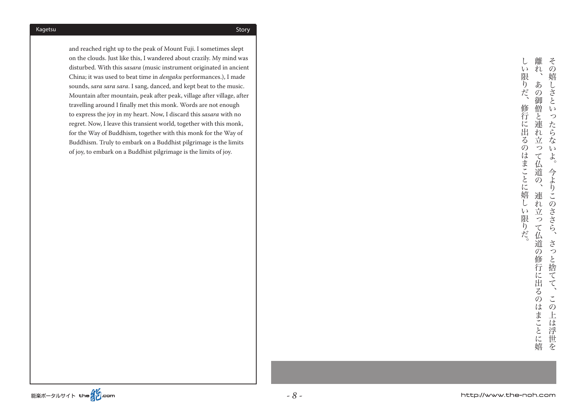and reached right up to the peak of Mount Fuji. I sometimes slept on the clouds. Just like this, I wandered about crazily. My mind was disturbed. With this sasara (music instrument originated in ancient China; it was used to beat time in *dengaku* performances.), I made sounds, sara sara sara. I sang, danced, and kept beat to the music. Mountain after mountain, peak after peak, village after village, after travelling around I finally met this monk. Words are not enough to express the joy in my heart. Now, I discard this *sasara* with no regret. Now, I leave this transient world, together with this monk, for the Way of Buddhism, together with this monk for the Way of Buddhism. Truly to embark on a Buddhist pilgrimage is the limits of joy, to embark on a Buddhist pilgrimage is the limits of joy.

離  $z$  $\cup$  $\iota$  $\ddot{n}$ 連れ立って伝道の修行に出るのは、それに出るのは、それに出るのは、それに出るのは、それに出るのは、それに出るのは、それに出るのは、それに出るのは、それに出るのは、また、また、また、また、また、また、また  $\mathcal{O}$ この上は浮世を、さっと捨てて、今よりこのささら。その嬉しさといったらないよ限 嬉 おりだ、 あ しさと  $\overline{O}$ 御 修行 僧と  $\sqrt{ }$ っ に出 連 た  $n$ ら  $\overline{z}$  $\frac{1}{\sqrt{2}}$ な  $\varnothing$  $\mathcal{D}$  $\iota$ は て仏道 よ まことに嬉し 今よ  $\overline{O}$ りこの 連 れ **いささら、**  $\mathcal{U}$ 立 限  $\overline{z}$ おだ。 て仏道の さっ 修行に出 と捨てて  $\overline{z}$  $\mathcal{O}$  $\tilde{\zeta}$ はまことに嬉  $\mathcal{O}$ 上 は 浮世 安

。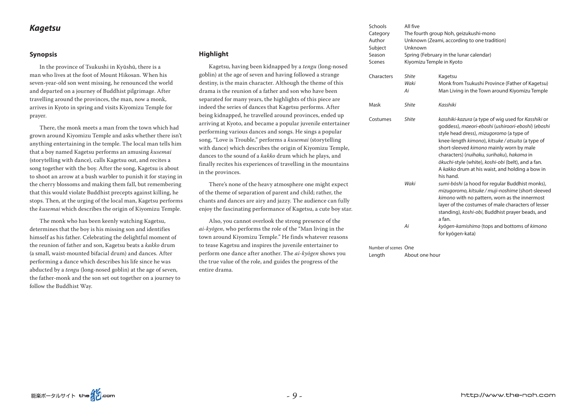## *Kagetsu*

#### **Synopsis**

In the province of Tsukushi in Kyūshū, there is a man who lives at the foot of Mount Hikosan. When his seven-year-old son went missing, he renounced the world and departed on a journey of Buddhist pilgrimage. After travelling around the provinces, the man, now a monk, arrives in Kyoto in spring and visits Kiyomizu Temple for prayer.

There, the monk meets a man from the town which had grown around Kiyomizu Temple and asks whether there isn't anything entertaining in the temple. The local man tells him that a boy named Kagetsu performs an amusing kusemai (storytelling with dance), calls Kagetsu out, and recites a song together with the boy. After the song, Kagetsu is about to shoot an arrow at a bush warbler to punish it for staying in the cherry blossoms and making them fall, but remembering that this would violate Buddhist precepts against killing, he stops. Then, at the urging of the local man, Kagetsu performs the kusemai which describes the origin of Kiyomizu Temple.

The monk who has been keenly watching Kagetsu, determines that the boy is his missing son and identifies himself as his father. Celebrating the delightful moment of the reunion of father and son, Kagetsu beats a kakko drum (a small, waist-mounted bifacial drum) and dances. After performing a dance which describes his life since he was abducted by a *tengu* (long-nosed goblin) at the age of seven, the father-monk and the son set out together on a journey to follow the Buddhist Way.

### **Highlight**

Kagetsu, having been kidnapped by a *tengu* (long-nosed goblin) at the age of seven and having followed a strange destiny, is the main character. Although the theme of this drama is the reunion of a father and son who have been separated for many years, the highlights of this piece are indeed the series of dances that Kagetsu performs. After being kidnapped, he travelled around provinces, ended up arriving at Kyoto, and became a popular juvenile entertainer performing various dances and songs. He sings a popular song, "Love is Trouble," performs a kusemai (storytelling with dance) which describes the origin of Kiyomizu Temple, dances to the sound of a kakko drum which he plays, and finally recites his experiences of travelling in the mountains in the provinces.

There's none of the heavy atmosphere one might expect of the theme of separation of parent and child; rather, the chants and dances are airy and jazzy. The audience can fully enjoy the fascinating performance of Kagetsu, a cute boy star.

Also, you cannot overlook the strong presence of the the interpretation in the indepthenon ai-kyōgen, who performs the role of the "Man living in the town around Kiyomizu Temple." He finds whatever reasons to tease Kagetsu and inspires the iuvenile entertainer to perform one dance after another. The *ai-kyōgen* shows you the true value of the role, and guides the progress of the entire drama.

| Schools<br>Category<br>Author<br>Subject<br>Season<br>Scenes | All five<br>The fourth group Noh, geizukushi-mono<br>Unknown (Zeami, according to one tradition)<br>Unknown<br>Spring (February in the lunar calendar)<br>Kiyomizu Temple in Kyoto |                                                                                                                                                                                                                                                                                                                                                                                                                            |
|--------------------------------------------------------------|------------------------------------------------------------------------------------------------------------------------------------------------------------------------------------|----------------------------------------------------------------------------------------------------------------------------------------------------------------------------------------------------------------------------------------------------------------------------------------------------------------------------------------------------------------------------------------------------------------------------|
| Characters                                                   | <b>Shite</b><br>Waki<br>Аi                                                                                                                                                         | Kagetsu<br>Monk from Tsukushi Province (Father of Kagetsu)<br>Man Living in the Town around Kiyomizu Temple                                                                                                                                                                                                                                                                                                                |
| Mask                                                         | <b>Shite</b>                                                                                                                                                                       | Kasshiki                                                                                                                                                                                                                                                                                                                                                                                                                   |
| Costumes                                                     | <b>Shite</b>                                                                                                                                                                       | kasshiki-kazura (a type of wig used for Kasshiki or<br>goddess), maeori-eboshi (ushiroori-eboshi) (eboshi<br>style head dress), mizugoromo (a type of<br>knee-length kimono), kitsuke / atsuita (a type of<br>short-sleeved kimono mainly worn by male<br>characters) (nuihaku, surihaku), hakama in<br>ökuchi-style (white), koshi-obi (belt), and a fan.<br>A kakko drum at his waist, and holding a bow in<br>his hand. |
|                                                              | Waki                                                                                                                                                                               | sumi-bōshi (a hood for regular Buddhist monks),<br>mizugoromo, kitsuke / muji-noshime (short-sleeved<br>kimono with no pattern, worn as the innermost<br>layer of the costumes of male characters of lesser<br>standing), koshi-obi, Buddhist prayer beads, and<br>a fan.                                                                                                                                                  |
|                                                              | Ai                                                                                                                                                                                 | kyōgen-kamishimo (tops and bottoms of kimono<br>for kyōgen-kata)                                                                                                                                                                                                                                                                                                                                                           |

Number of scenes One Length About one hour